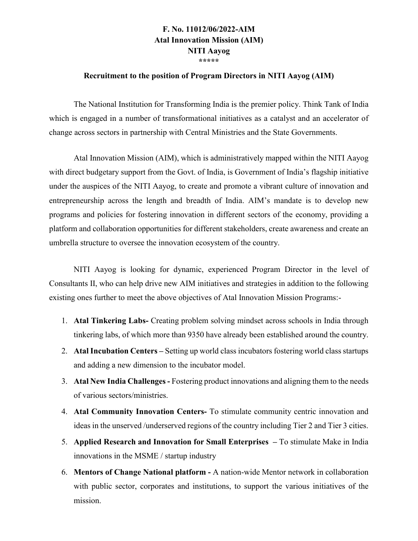## **F. No. 11012/06/2022-AIM Atal Innovation Mission (AIM) NITI Aayog \*\*\*\*\***

#### **Recruitment to the position of Program Directors in NITI Aayog (AIM)**

The National Institution for Transforming India is the premier policy. Think Tank of India which is engaged in a number of transformational initiatives as a catalyst and an accelerator of change across sectors in partnership with Central Ministries and the State Governments.

Atal Innovation Mission (AIM), which is administratively mapped within the NITI Aayog with direct budgetary support from the Govt. of India, is Government of India's flagship initiative under the auspices of the NITI Aayog, to create and promote a vibrant culture of innovation and entrepreneurship across the length and breadth of India. AIM's mandate is to develop new programs and policies for fostering innovation in different sectors of the economy, providing a platform and collaboration opportunities for different stakeholders, create awareness and create an umbrella structure to oversee the innovation ecosystem of the country.

NITI Aayog is looking for dynamic, experienced Program Director in the level of Consultants II, who can help drive new AIM initiatives and strategies in addition to the following existing ones further to meet the above objectives of Atal Innovation Mission Programs:-

- 1. **Atal Tinkering Labs-** Creating problem solving mindset across schools in India through tinkering labs, of which more than 9350 have already been established around the country.
- 2. **Atal Incubation Centers –** Setting up world class incubators fostering world class startups and adding a new dimension to the incubator model.
- 3. **Atal New India Challenges -** Fostering product innovations and aligning them to the needs of various sectors/ministries.
- 4. **Atal Community Innovation Centers-** To stimulate community centric innovation and ideas in the unserved /underserved regions of the country including Tier 2 and Tier 3 cities.
- 5. **Applied Research and Innovation for Small Enterprises –** To stimulate Make in India innovations in the MSME / startup industry
- 6. **Mentors of Change National platform -** A nation-wide Mentor network in collaboration with public sector, corporates and institutions, to support the various initiatives of the mission.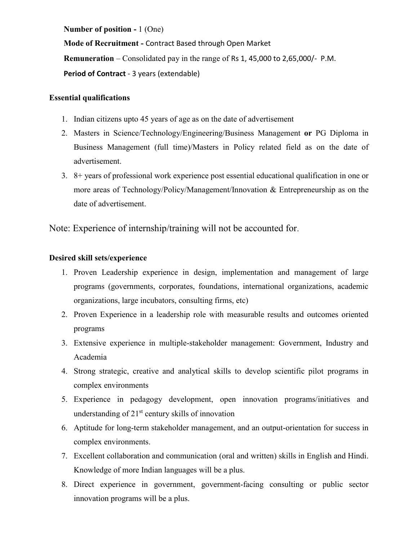**Number of position -** 1 (One)

**Mode of Recruitment -** Contract Based through Open Market **Remuneration** – Consolidated pay in the range of Rs 1, 45,000 to 2,65,000/- P.M. **Period of Contract** - 3 years (extendable)

### **Essential qualifications**

- 1. Indian citizens upto 45 years of age as on the date of advertisement
- 2. Masters in Science/Technology/Engineering/Business Management **or** PG Diploma in Business Management (full time)/Masters in Policy related field as on the date of advertisement.
- 3. 8+ years of professional work experience post essential educational qualification in one or more areas of Technology/Policy/Management/Innovation & Entrepreneurship as on the date of advertisement.

Note: Experience of internship/training will not be accounted for.

### **Desired skill sets/experience**

- 1. Proven Leadership experience in design, implementation and management of large programs (governments, corporates, foundations, international organizations, academic organizations, large incubators, consulting firms, etc)
- 2. Proven Experience in a leadership role with measurable results and outcomes oriented programs
- 3. Extensive experience in multiple-stakeholder management: Government, Industry and Academia
- 4. Strong strategic, creative and analytical skills to develop scientific pilot programs in complex environments
- 5. Experience in pedagogy development, open innovation programs/initiatives and understanding of  $21<sup>st</sup>$  century skills of innovation
- 6. Aptitude for long-term stakeholder management, and an output-orientation for success in complex environments.
- 7. Excellent collaboration and communication (oral and written) skills in English and Hindi. Knowledge of more Indian languages will be a plus.
- 8. Direct experience in government, government-facing consulting or public sector innovation programs will be a plus.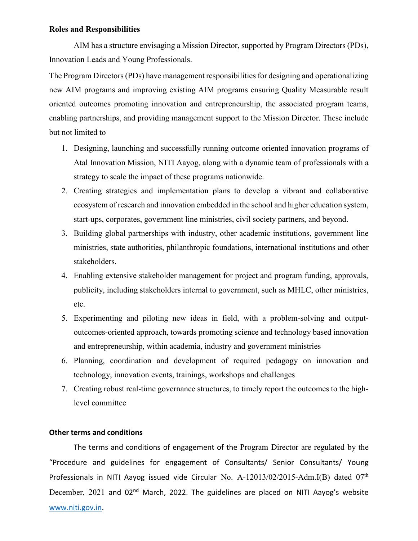#### **Roles and Responsibilities**

AIM has a structure envisaging a Mission Director, supported by Program Directors (PDs), Innovation Leads and Young Professionals.

The Program Directors (PDs) have management responsibilities for designing and operationalizing new AIM programs and improving existing AIM programs ensuring Quality Measurable result oriented outcomes promoting innovation and entrepreneurship, the associated program teams, enabling partnerships, and providing management support to the Mission Director. These include but not limited to

- 1. Designing, launching and successfully running outcome oriented innovation programs of Atal Innovation Mission, NITI Aayog, along with a dynamic team of professionals with a strategy to scale the impact of these programs nationwide.
- 2. Creating strategies and implementation plans to develop a vibrant and collaborative ecosystem of research and innovation embedded in the school and higher education system, start-ups, corporates, government line ministries, civil society partners, and beyond.
- 3. Building global partnerships with industry, other academic institutions, government line ministries, state authorities, philanthropic foundations, international institutions and other stakeholders.
- 4. Enabling extensive stakeholder management for project and program funding, approvals, publicity, including stakeholders internal to government, such as MHLC, other ministries, etc.
- 5. Experimenting and piloting new ideas in field, with a problem-solving and outputoutcomes-oriented approach, towards promoting science and technology based innovation and entrepreneurship, within academia, industry and government ministries
- 6. Planning, coordination and development of required pedagogy on innovation and technology, innovation events, trainings, workshops and challenges
- 7. Creating robust real-time governance structures, to timely report the outcomes to the highlevel committee

#### **Other terms and conditions**

The terms and conditions of engagement of the Program Director are regulated by the "Procedure and guidelines for engagement of Consultants/ Senior Consultants/ Young Professionals in NITI Aayog issued vide Circular No. A-12013/02/2015-Adm.I(B) dated 07<sup>th</sup> December, 2021 and 02<sup>nd</sup> March, 2022. The guidelines are placed on NITI Aayog's website [www.niti.gov.in.](http://www.niti.gov.in/)